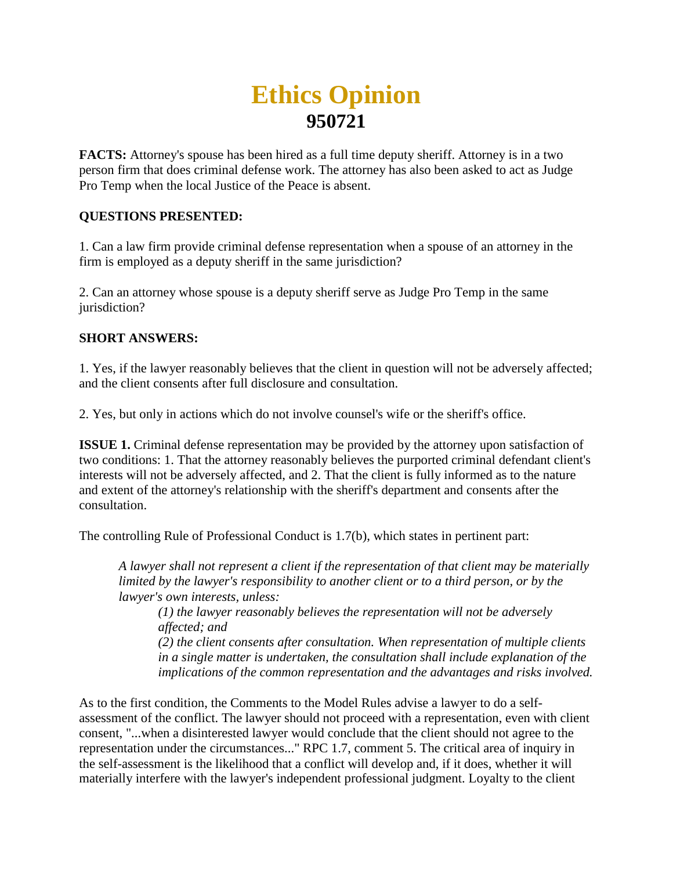## **Ethics Opinion 950721**

**FACTS:** Attorney's spouse has been hired as a full time deputy sheriff. Attorney is in a two person firm that does criminal defense work. The attorney has also been asked to act as Judge Pro Temp when the local Justice of the Peace is absent.

## **QUESTIONS PRESENTED:**

1. Can a law firm provide criminal defense representation when a spouse of an attorney in the firm is employed as a deputy sheriff in the same jurisdiction?

2. Can an attorney whose spouse is a deputy sheriff serve as Judge Pro Temp in the same jurisdiction?

## **SHORT ANSWERS:**

1. Yes, if the lawyer reasonably believes that the client in question will not be adversely affected; and the client consents after full disclosure and consultation.

2. Yes, but only in actions which do not involve counsel's wife or the sheriff's office.

**ISSUE 1.** Criminal defense representation may be provided by the attorney upon satisfaction of two conditions: 1. That the attorney reasonably believes the purported criminal defendant client's interests will not be adversely affected, and 2. That the client is fully informed as to the nature and extent of the attorney's relationship with the sheriff's department and consents after the consultation.

The controlling Rule of Professional Conduct is 1.7(b), which states in pertinent part:

*A lawyer shall not represent a client if the representation of that client may be materially limited by the lawyer's responsibility to another client or to a third person, or by the lawyer's own interests, unless:* 

*(1) the lawyer reasonably believes the representation will not be adversely affected; and*

*(2) the client consents after consultation. When representation of multiple clients in a single matter is undertaken, the consultation shall include explanation of the implications of the common representation and the advantages and risks involved.*

As to the first condition, the Comments to the Model Rules advise a lawyer to do a selfassessment of the conflict. The lawyer should not proceed with a representation, even with client consent, "...when a disinterested lawyer would conclude that the client should not agree to the representation under the circumstances..." RPC 1.7, comment 5. The critical area of inquiry in the self-assessment is the likelihood that a conflict will develop and, if it does, whether it will materially interfere with the lawyer's independent professional judgment. Loyalty to the client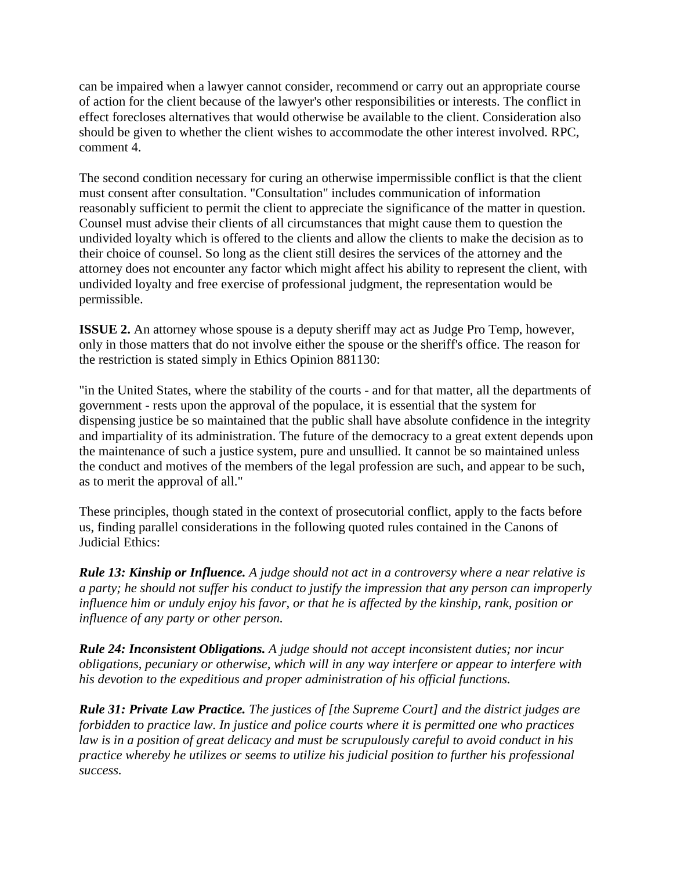can be impaired when a lawyer cannot consider, recommend or carry out an appropriate course of action for the client because of the lawyer's other responsibilities or interests. The conflict in effect forecloses alternatives that would otherwise be available to the client. Consideration also should be given to whether the client wishes to accommodate the other interest involved. RPC, comment 4.

The second condition necessary for curing an otherwise impermissible conflict is that the client must consent after consultation. "Consultation" includes communication of information reasonably sufficient to permit the client to appreciate the significance of the matter in question. Counsel must advise their clients of all circumstances that might cause them to question the undivided loyalty which is offered to the clients and allow the clients to make the decision as to their choice of counsel. So long as the client still desires the services of the attorney and the attorney does not encounter any factor which might affect his ability to represent the client, with undivided loyalty and free exercise of professional judgment, the representation would be permissible.

**ISSUE 2.** An attorney whose spouse is a deputy sheriff may act as Judge Pro Temp, however, only in those matters that do not involve either the spouse or the sheriff's office. The reason for the restriction is stated simply in Ethics Opinion 881130:

"in the United States, where the stability of the courts - and for that matter, all the departments of government - rests upon the approval of the populace, it is essential that the system for dispensing justice be so maintained that the public shall have absolute confidence in the integrity and impartiality of its administration. The future of the democracy to a great extent depends upon the maintenance of such a justice system, pure and unsullied. It cannot be so maintained unless the conduct and motives of the members of the legal profession are such, and appear to be such, as to merit the approval of all."

These principles, though stated in the context of prosecutorial conflict, apply to the facts before us, finding parallel considerations in the following quoted rules contained in the Canons of Judicial Ethics:

*Rule 13: Kinship or Influence. A judge should not act in a controversy where a near relative is a party; he should not suffer his conduct to justify the impression that any person can improperly influence him or unduly enjoy his favor, or that he is affected by the kinship, rank, position or influence of any party or other person.*

*Rule 24: Inconsistent Obligations. A judge should not accept inconsistent duties; nor incur obligations, pecuniary or otherwise, which will in any way interfere or appear to interfere with his devotion to the expeditious and proper administration of his official functions.*

*Rule 31: Private Law Practice. The justices of [the Supreme Court] and the district judges are forbidden to practice law. In justice and police courts where it is permitted one who practices law is in a position of great delicacy and must be scrupulously careful to avoid conduct in his practice whereby he utilizes or seems to utilize his judicial position to further his professional success.*